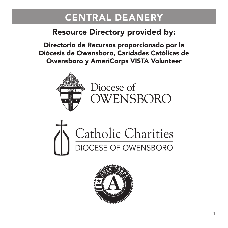### Resource Directory provided by:

Directorio de Recursos proporcionado por la Diócesis de Owensboro, Caridades Católicas de Owensboro y AmeriCorps VISTA Volunteer



Diocese of OWENSBORO



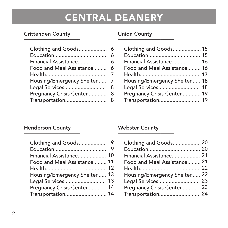### Crittenden County \_\_\_\_\_\_\_\_\_\_\_\_\_\_\_\_\_\_\_\_\_

|                            | 6 |
|----------------------------|---|
| Financial Assistance       | 6 |
| Food and Meal Assistance 6 |   |
|                            | 7 |
| Housing/Emergency Shelter  | 7 |
| Legal Services             | 8 |
| Pregnancy Crisis Center    | 8 |
|                            |   |

### Union County<br>————————————————————

| Clothing and Goods 15        |  |
|------------------------------|--|
|                              |  |
| Financial Assistance 16      |  |
| Food and Meal Assistance 16  |  |
|                              |  |
| Housing/Emergency Shelter 18 |  |
| Legal Services 18            |  |
| Pregnancy Crisis Center 19   |  |
|                              |  |

### Henderson County \_\_\_\_\_\_\_\_\_\_\_\_\_\_\_\_\_\_\_\_\_

| Financial Assistance 10      |  |
|------------------------------|--|
| Food and Meal Assistance 11  |  |
|                              |  |
| Housing/Emergency Shelter 13 |  |
|                              |  |
| Pregnancy Crisis Center 14   |  |
| Transportation 14            |  |

### Webster County<br>————————————————————

| Clothing and Goods 20        |  |
|------------------------------|--|
|                              |  |
| Financial Assistance 21      |  |
| Food and Meal Assistance 21  |  |
|                              |  |
| Housing/Emergency Shelter 22 |  |
|                              |  |
| Pregnancy Crisis Center 23   |  |
|                              |  |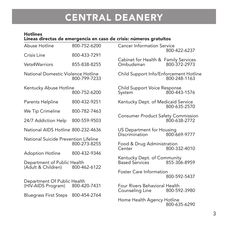#### Hotlines \_\_\_\_\_\_\_\_\_\_\_\_\_\_\_\_\_\_\_\_\_\_\_\_\_\_\_\_\_\_\_\_\_\_\_\_\_\_\_\_\_\_\_\_ Líneas directas de emergencia en caso de crisis: números gratuitos

| Abuse Hotline                                     | 800-752-6200 | <b>Cancer Information Service</b>                    | 800-422-6237 |
|---------------------------------------------------|--------------|------------------------------------------------------|--------------|
| Crisis Line                                       | 800-433-7291 |                                                      |              |
| Vets4Warriors                                     | 855-838-8255 | Cabinet for Health & Family Services<br>Ombudsman    | 800-372-2973 |
| National Domestic Violence Hotline                | 800-799-7233 | Child Support Info/Enforcement Hotline               | 800-248-1163 |
| Kentucky Abuse Hotline                            | 800-752-6200 | Child Support Voice Response<br>System               | 800-443-1576 |
| Parents Helpline                                  | 800-432-9251 | Kentucky Dept. of Medicaid Service                   | 800-635-2570 |
| We Tip Crimeline                                  | 800-782-7463 |                                                      |              |
| 24/7 Addiction Help                               | 800-559-9503 | <b>Consumer Product Safety Commission</b>            | 800-638-2772 |
| National AIDS Hotline 800-232-4636                |              | US Department for Housing<br>Discrimination          | 800-669-9777 |
| National Suicide Prevention Lifeline              | 800-273-8255 | Food & Drug Administration<br>Center                 | 800-332-4010 |
| <b>Adoption Hotline</b>                           | 800-432-9346 |                                                      |              |
| Department of Public Health<br>(Adult & Children) | 800-462-6122 | Kentucky Dept. of Community<br><b>Based Services</b> | 855-306-8959 |
|                                                   |              | <b>Foster Care Information</b>                       | 800-592-5437 |
| Department Of Public Health<br>(HIV-AIDS Program) | 800-420-7431 | Four Rivers Behavioral Health<br>Counseling Line     | 800-592-3980 |
| <b>Bluegrass First Steps</b>                      | 800-454-2764 |                                                      |              |
|                                                   |              | Home Health Agency Hotline                           | 800-635-6290 |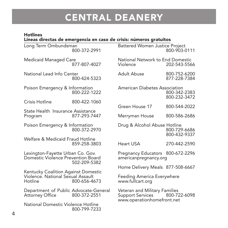#### Hotlines Líneas directas de emergencia en caso de crisis: números gratuitos \_\_\_\_\_\_\_\_\_\_\_\_\_\_\_\_\_\_\_\_\_\_\_\_\_\_\_\_\_\_\_\_\_\_\_\_\_\_\_\_\_\_\_\_\_\_\_\_\_\_\_\_\_\_\_

| Long Term Ombundsman                                                                                | 800-372-2991 | <b>Battered Women Justice Project</b>                                           | 800-903-0111                 |
|-----------------------------------------------------------------------------------------------------|--------------|---------------------------------------------------------------------------------|------------------------------|
| <b>Medicaid Managed Care</b>                                                                        | 877-807-4027 | National Network to End Domestic<br>Violence                                    | 202-543-5566                 |
| National Lead Info Center                                                                           | 800-424-5323 | Adult Abuse                                                                     | 800-752-6200<br>877-228-7384 |
| Poison Emergency & Information                                                                      | 800-222-1222 | American Diabetes Association                                                   | 800-342-2383<br>800-232-3472 |
| Crisis Hotline                                                                                      | 800-422-1060 | Green House 17                                                                  | 800-544-2022                 |
| State Health Insurance Assistance                                                                   |              |                                                                                 |                              |
| Program                                                                                             | 877-293-7447 | Merryman House                                                                  | 800-586-2686                 |
| Poison Emergency & Information                                                                      | 800-372-2970 | Drug & Alcohol Abuse Hotline                                                    | 800-729-6686<br>800-432-9337 |
| Welfare & Medicaid Fraud Hotline                                                                    | 859-258-3803 | <b>Heart USA</b>                                                                | 270-442-2590                 |
| Lexington-Fayette Urban Co. Gov.<br>Domestic Violence Prevention Board<br>502-209-5382              |              | Pregnancy Educators 800-672-2296<br>americanpregnancy.org                       |                              |
|                                                                                                     |              | Home Delivery Meals 877-508-6667                                                |                              |
| Kentucky Coalition Against Domestic<br>Violence. National Sexual Assault<br>Hotline<br>800-656-4673 |              | Feeding America Everywhere<br>www.fullcart.org                                  |                              |
| Department of Public Advocate-General<br><b>Attorney Office</b>                                     | 800-372-2551 | Veteran and Military Families<br>Support Services<br>www.operationhomefront.net | 800-722-6098                 |
| National Domestic Violence Hotline                                                                  | 800-799-7233 |                                                                                 |                              |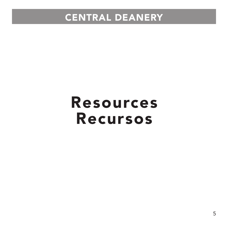# Resources Recursos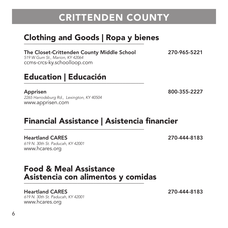## CRITTENDEN COUNTY

## Clothing and Goods | Ropa y bienes \_\_\_\_\_\_\_\_\_\_\_\_\_\_\_\_\_\_\_\_\_\_\_\_\_\_\_\_\_\_\_\_\_\_\_\_\_\_\_\_\_\_\_\_\_

The Closet-Crittenden County Middle School 270-965-5221

519 W Gum St., Marion, KY 42064 ccms-crcs-ky.schoolloop.com

### Education | Educación \_\_\_\_\_\_\_\_\_\_\_\_\_\_\_\_\_\_\_\_\_\_\_\_\_\_\_\_\_\_\_\_\_\_\_\_\_\_\_\_\_\_\_\_\_

2265 Harrodsburg Rd., Lexington, KY 40504 www.apprisen.com

### Financial Assistance | Asistencia financier \_\_\_\_\_\_\_\_\_\_\_\_\_\_\_\_\_\_\_\_\_\_\_\_\_\_\_\_\_\_\_\_\_\_\_\_\_\_\_\_\_\_\_\_\_

Heartland CARES 270-444-8183 619 N. 30th St. Paducah, KY 42001 www.hcares.org

### Food & Meal Assistance Asistencia con alimentos y comidas \_\_\_\_\_\_\_\_\_\_\_\_\_\_\_\_\_\_\_\_\_\_\_\_\_\_\_\_\_\_\_\_\_\_\_\_\_\_\_\_\_\_\_\_\_

#### Heartland CARES 270-444-8183

619 N. 30th St. Paducah, KY 42001 www.hcares.org

Apprisen 800-355-2227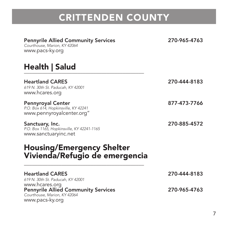# CRITTENDEN COUNTY

| <b>Pennyrile Allied Community Services</b><br>Courthouse, Marion, KY 42064<br>www.pacs-ky.org                   | 270-965-4763 |
|-----------------------------------------------------------------------------------------------------------------|--------------|
| Health   Salud                                                                                                  |              |
| <b>Heartland CARES</b><br>619 N. 30th St. Paducah. KY 42001<br>www.hcares.org                                   | 270-444-8183 |
| <b>Pennyroyal Center</b><br>P.O. Box 614, Hopkinsville, KY 42241<br>www.pennyroyalcenter.org"                   | 877-473-7766 |
| Sanctuary, Inc.<br>P.O. Box 1165, Hopkinsville, KY 42241-1165<br>www.sanctuaryinc.net                           | 270-885-4572 |
| <b>Housing/Emergency Shelter</b><br>Vivienda/Refugio de emergencia                                              |              |
| <b>Heartland CARES</b><br>619 N. 30th St. Paducah, KY 42001                                                     | 270-444-8183 |
| www.hcares.org<br><b>Pennyrile Allied Community Services</b><br>Courthouse, Marion, KY 42064<br>www.pacs-ky.org | 270-965-4763 |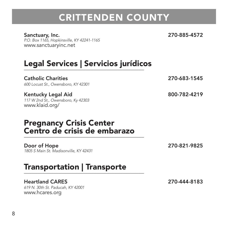## CRITTENDEN COUNTY

#### Sanctuary, Inc. 270-885-4572

P.O. Box 1165, Hopkinsville, KY 42241-1165 www.sanctuaryinc.net

# Legal Services | Servicios jurídicos \_\_\_\_\_\_\_\_\_\_\_\_\_\_\_\_\_\_\_\_\_\_\_\_\_\_\_\_\_\_\_\_\_\_\_\_\_\_\_\_\_\_\_\_\_

Catholic Charities 270-683-1545 600 Locust St., Owensboro, KY 42301

Kentucky Legal Aid 800-782-4219 117 W 2nd St., Owensboro, Ky 42303 www.klaid.org/

### Pregnancy Crisis Center Centro de crisis de embarazo \_\_\_\_\_\_\_\_\_\_\_\_\_\_\_\_\_\_\_\_\_\_\_\_\_\_\_\_\_\_\_\_\_\_\_\_\_\_\_\_\_\_\_\_\_

Door of Hope 270-821-9825 1805 S Main St. Madisonville, KY 42431

### Transportation | Transporte \_\_\_\_\_\_\_\_\_\_\_\_\_\_\_\_\_\_\_\_\_\_\_\_\_\_\_\_\_\_\_\_\_\_\_\_\_\_\_\_\_\_\_\_\_

#### Heartland CARES 270-444-8183

619 N. 30th St. Paducah, KY 42001 www.hcares.org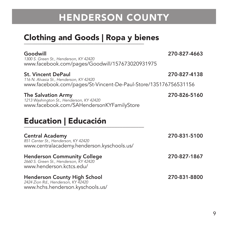## Clothing and Goods | Ropa y bienes \_\_\_\_\_\_\_\_\_\_\_\_\_\_\_\_\_\_\_\_\_\_\_\_\_\_\_\_\_\_\_\_\_\_\_\_\_\_\_\_\_\_\_\_\_

| Goodwill<br>1300 S. Green St., Henderson, KY 42420<br>www.facebook.com/pages/Goodwill/157673020931975                                   | 270-827-4663 |
|-----------------------------------------------------------------------------------------------------------------------------------------|--------------|
| <b>St. Vincent DePaul</b><br>116 N. Alvasia St., Henderson, KY 42420<br>www.facebook.com/pages/St-Vincent-De-Paul-Store/135176756531156 | 270-827-4138 |
| <b>The Salvation Army</b><br>1213 Washington St., Henderson, KY 42420<br>www.facebook.com/SAHendersonKYFamilyStore                      | 270-826-5160 |
| <b>Education   Educación</b>                                                                                                            |              |
| <b>Central Academy</b><br>851 Center St., Henderson, KY 42420<br>www.centralacademy.henderson.kyschools.us/                             | 270-831-5100 |
| <b>Henderson Community College</b><br>2660 S. Green St., Henderson, KY 42420<br>www.henderson.kctcs.edu/                                | 270-827-1867 |

### Henderson County High School 270-831-8800 2424 Zion Rd., Henderson, KY 42420

www.hchs.henderson.kyschools.us/

9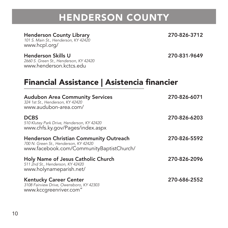### **Henderson County Library 270-826-3712**<br>101 S. Main St., Henderson, KY 42420

www.hcpl.org/

Henderson Skills U 270-831-9649 2660 S. Green St., Henderson, KY 42420 www.henderson.kctcs.edu

Financial Assistance | Asistencia financier<br>————————————————————

| <b>Audubon Area Community Services</b><br>324 1st St., Henderson, KY 42420<br>www.audubon-area.com/                                | 270-826-6071 |
|------------------------------------------------------------------------------------------------------------------------------------|--------------|
| <b>DCBS</b><br>510 Klutey Park Drive, Henderson, KY 42420<br>www.chfs.ky.gov/Pages/index.aspx                                      | 270-826-6203 |
| <b>Henderson Christian Community Outreach</b><br>700 N. Green St., Henderson, KY 42420<br>www.facebook.com/CommunityBaptistChurch/ | 270-826-5592 |
| Holy Name of Jesus Catholic Church<br>511 2nd St., Henderson, KY 42420<br>www.holynameparish.net/                                  | 270-826-2096 |
| <b>Kentucky Career Center</b><br>3108 Fairview Drive, Owensboro, KY 42303<br>www.kccgreenriver.com"                                | 270-686-2552 |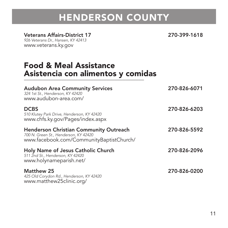#### Veterans Affairs-District 17 270-399-1618

926 Veterans Dr., Hansen, KY 42413 www.veterans.ky.gov

### Food & Meal Assistance Asistencia con alimentos y comidas

| <b>Audubon Area Community Services</b><br>324 1st St., Henderson, KY 42420<br>www.audubon-area.com/                                | 270-826-6071 |
|------------------------------------------------------------------------------------------------------------------------------------|--------------|
| <b>DCBS</b><br>510 Klutey Park Drive, Henderson, KY 42420<br>www.chfs.ky.gov/Pages/index.aspx                                      | 270-826-6203 |
| <b>Henderson Christian Community Outreach</b><br>700 N. Green St., Henderson, KY 42420<br>www.facebook.com/CommunityBaptistChurch/ | 270-826-5592 |
| Holy Name of Jesus Catholic Church<br>511 2nd St., Henderson, KY 42420<br>www.holynameparish.net/                                  | 270-826-2096 |
| Matthew 25<br>425 Old Corydon Rd., Henderson, KY 42420<br>www.matthew25clinic.org/                                                 | 270-826-0200 |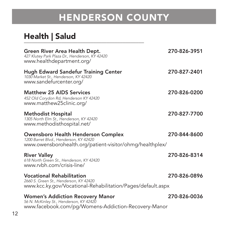### Health | Salud

| Green River Area Health Dept.<br>427 Klutey Park Plaza Dr., Henderson, KY 42420<br>www.healthdepartment.org/                              | 270-826-3951 |
|-------------------------------------------------------------------------------------------------------------------------------------------|--------------|
| <b>Hugh Edward Sandefur Training Center</b><br>1030 Market St., Henderson, KY 42420<br>www.sandefurcenter.org/                            | 270-827-2401 |
| Matthew 25 AIDS Services<br>452 Old Corydon Rd, Henderson KY 42420<br>www.matthew25clinic.org/                                            | 270-826-0200 |
| Methodist Hospital<br>1305 North Elm St., Henderson, KY 42420<br>www.methodisthospital.net/                                               | 270-827-7700 |
| Owensboro Health Henderson Complex<br>1200 Barret Blvd., Henderson, KY 42420<br>www.owensborohealth.org/patient-visitor/ohmg/healthplex/  | 270-844-8600 |
| <b>River Valley</b><br>618 North Green St., Henderson, KY 42420<br>www.rvbh.com/crisis-line/                                              | 270-826-8314 |
| <b>Vocational Rehabilitation</b><br>2660 S. Green St., Henderson, KY 42420<br>www.kcc.ky.gov/Vocational-Rehabilitation/Pages/default.aspx | 270-826-0896 |
| <b>Women's Addiction Recovery Manor</b><br>56 N. McKinley St., Henderson, KY 42420<br>www.facebook.com/pg/Womens-Addiction-Recovery-Manor | 270-826-0036 |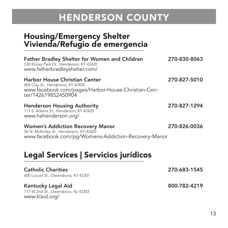### Housing/Emergency Shelter Vivienda/Refugio de emergencia \_\_\_\_\_\_\_\_\_\_\_\_\_\_\_\_\_\_\_\_\_\_\_\_\_\_\_\_\_\_\_\_\_\_\_\_\_\_\_\_\_\_\_\_\_

| <b>Father Bradley Shelter for Women and Children</b><br>530 Klutey Park Dr., Henderson, KY 42420<br>www.fatherbradleyshelter.com/               | 270-830-8063 |
|-------------------------------------------------------------------------------------------------------------------------------------------------|--------------|
| Harbor House Christian Center<br>804 Clay St., Henderson, KY 42420<br>www.facebook.com/pages/Harbor-House-Christian-Cen-<br>ter/142619852450904 | 270-827-5010 |
| <b>Henderson Housing Authority</b><br>111 S. Adams St., Henderson, KY 42420<br>www.hahenderson.org/                                             | 270-827-1294 |
| <b>Women's Addiction Recovery Manor</b><br>56 N. McKinley St., Henderson, KY 42420<br>www.facebook.com/pg/Womens-Addiction-Recovery-Manor       | 270-826-0036 |
| Legal Services   Servicios jurídicos                                                                                                            |              |
| <b>Catholic Charities</b><br>600 Locust St., Owensboro, KY 42301                                                                                | 270-683-1545 |
| Kentucky Legal Aid<br>117 W 2nd St., Owensboro, Ky 42303<br>www.klaid.org/                                                                      | 800-782-4219 |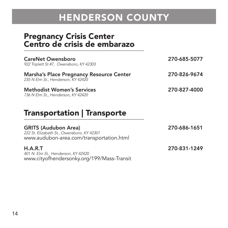### Pregnancy Crisis Center Centro de crisis de embarazo \_\_\_\_\_\_\_\_\_\_\_\_\_\_\_\_\_\_\_\_\_\_\_\_\_\_\_\_\_\_\_\_\_\_\_\_\_\_\_\_\_\_\_\_\_

| CareNet Owensboro<br>922 Triplett St #7, Owensboro, KY 42303                   | 270-685-5077 |
|--------------------------------------------------------------------------------|--------------|
| Marsha's Place Pregnancy Resource Center<br>235 N Elm St., Henderson, KY 42420 | 270-826-9674 |
| Methodist Women's Services<br>736 N Elm St., Henderson, KY 42420               | 270-827-4000 |

### Transportation | Transporte \_\_\_\_\_\_\_\_\_\_\_\_\_\_\_\_\_\_\_\_\_\_\_\_\_\_\_\_\_\_\_\_\_\_\_\_\_\_\_\_\_\_\_\_\_

| <b>GRITS (Audubon Area)</b><br>222 St. Elizabeth St., Owensboro, KY 42301<br>www.audubon-area.com/transportation.html | 270-686-1651 |
|-----------------------------------------------------------------------------------------------------------------------|--------------|
| H.A.R.T<br>401 N. Elm St., Henderson, KY 42420<br>www.cityofhendersonky.org/199/Mass-Transit                          | 270-831-1249 |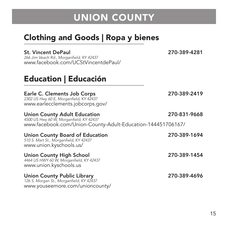## Clothing and Goods | Ropa y bienes \_\_\_\_\_\_\_\_\_\_\_\_\_\_\_\_\_\_\_\_\_\_\_\_\_\_\_\_\_\_\_\_\_\_\_\_\_\_\_\_\_\_\_\_\_

#### St. Vincent DePaul 270-389-4281

266 Jim Veach Rd., Morganfield, KY 42437 www.facebook.com/UCStVincentdePaul/

### Education | Educación \_\_\_\_\_\_\_\_\_\_\_\_\_\_\_\_\_\_\_\_\_\_\_\_\_\_\_\_\_\_\_\_\_\_\_\_\_\_\_\_\_\_\_\_\_

### Earle C. Clements Job Corps 270-389-2419

2302 US Hwy 60 E, Morganfield, KY 42437 www.earlecclements.jobcorps.gov/

#### Union County Adult Education 270-831-9668

4500 US Hwy 60 W, Morganfield, KY 42437 www.facebook.com/Union-County-Adult-Education-144451706167/

| Union County Board of Education<br>510 S. Mart St., Morganfield, KY 42437<br>www.union.kyschools.us/              | 270-389-1694 |
|-------------------------------------------------------------------------------------------------------------------|--------------|
| Union County High School<br>4464 US HWY 60 W, Morganfield, KY 42437<br>www.union.kyschools.us                     | 270-389-1454 |
| <b>Union County Public Library</b><br>126 S. Morgan St., Morganfield, KY 42437<br>www.youseemore.com/unioncounty/ | 270-389-4696 |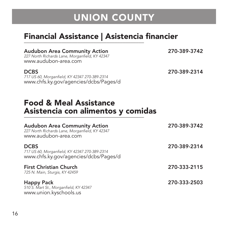## Financial Assistance | Asistencia financier<br>————————————————————

Audubon Area Community Action 270-389-3742 227 North Richards Lane, Morganfield, KY 42347

www.audubon-area.com

717 US 60, Morganfield, KY 42347 270-389-2314 www.chfs.ky.gov/agencies/dcbs/Pages/d

DCBS 270-389-2314

### Food & Meal Assistance Asistencia con alimentos y comidas \_\_\_\_\_\_\_\_\_\_\_\_\_\_\_\_\_\_\_\_\_\_\_\_\_\_\_\_\_\_\_\_\_\_\_\_\_\_\_\_\_\_\_\_\_

| <b>Audubon Area Community Action</b><br>227 North Richards Lane, Morganfield, KY 42347<br>www.audubon-area.com | 270-389-3742 |
|----------------------------------------------------------------------------------------------------------------|--------------|
| <b>DCBS</b><br>717 US 60, Morganfield, KY 42347 270-389-2314<br>www.chfs.ky.gov/agencies/dcbs/Pages/d          | 270-389-2314 |
| <b>First Christian Church</b><br>725 N. Main, Sturgis, KY 42459                                                | 270-333-2115 |
| <b>Happy Pack</b><br>510 S. Mart St., Morganfield, KY 42347<br>www.union.kyschools.us                          | 270-333-2503 |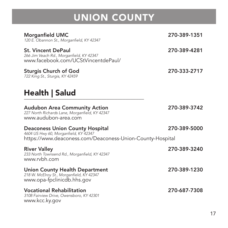| Morganfield UMC<br>120 E. Obannon St., Morganfield, KY 42347                                                                                 | 270-389-1351 |
|----------------------------------------------------------------------------------------------------------------------------------------------|--------------|
| <b>St. Vincent DePaul</b><br>266 Jim Veach Rd., Morganfield, KY 42347<br>www.facebook.com/UCStVincentdePaul/                                 | 270-389-4281 |
| <b>Sturgis Church of God</b><br>722 King St., Sturgis, KY 42459                                                                              | 270-333-2717 |
| Health   Salud                                                                                                                               |              |
| <b>Audubon Area Community Action</b><br>227 North Richards Lane, Morganfield, KY 42347<br>www.audubon-area.com                               | 270-389-3742 |
| <b>Deaconess Union County Hospital</b><br>4604 US Hwy 60, Morganfield, KY 42347<br>https://www.deaconess.com/Deaconess-Union-County-Hospital | 270-389-5000 |
| <b>River Valley</b><br>233 North Townsend Rd., Morganfield, KY 42347<br>www.rybh.com                                                         | 270-389-3240 |
| <b>Union County Health Department</b><br>218 W. McElroy St., Morganfield, KY 42347<br>www.opa-fpclinicdb.hhs.gov                             | 270-389-1230 |
| <b>Vocational Rehabilitation</b><br>3108 Fairview Drive, Owensboro, KY 42301<br>www.kcc.ky.gov                                               | 270-687-7308 |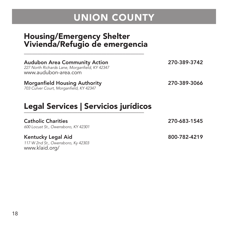### Housing/Emergency Shelter Vivienda/Refugio de emergencia \_\_\_\_\_\_\_\_\_\_\_\_\_\_\_\_\_\_\_\_\_\_\_\_\_\_\_\_\_\_\_\_\_\_\_\_\_\_\_\_\_\_\_\_\_

| Legal Services   Servicios jurídicos                                                                           |              |
|----------------------------------------------------------------------------------------------------------------|--------------|
| <b>Morganfield Housing Authority</b><br>703 Culver Court, Morganfield, KY 42347                                | 270-389-3066 |
| <b>Audubon Area Community Action</b><br>227 North Richards Lane, Morganfield, KY 42347<br>www.audubon-area.com | 270-389-3742 |

#### Catholic Charities 270-683-1545

600 Locust St., Owensboro, KY 42301

#### Kentucky Legal Aid 800-782-4219

117 W 2nd St., Owensboro, Ky 42303 www.klaid.org/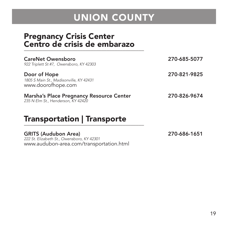### Pregnancy Crisis Center Centro de crisis de embarazo  $-$

| CareNet Owensboro<br>922 Triplett St #7, Owensboro, KY 42303                   | 270-685-5077 |
|--------------------------------------------------------------------------------|--------------|
| Door of Hope<br>1805 S Main St., Madisonville, KY 42431<br>www.doorofhope.com  | 270-821-9825 |
| Marsha's Place Pregnancy Resource Center<br>235 N Elm St., Henderson, KY 42420 | 270-826-9674 |

### Transportation | Transporte \_\_\_\_\_\_\_\_\_\_\_\_\_\_\_\_\_\_\_\_\_\_\_\_\_\_\_\_\_\_\_\_\_\_\_\_\_\_\_\_\_\_\_\_\_

#### GRITS (Audubon Area) 270-686-1651

222 St. Elizabeth St., Owensboro, KY 42301 www.audubon-area.com/transportation.html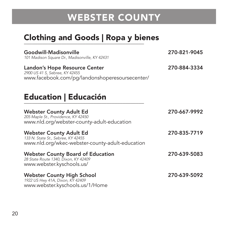## Clothing and Goods | Ropa y bienes \_\_\_\_\_\_\_\_\_\_\_\_\_\_\_\_\_\_\_\_\_\_\_\_\_\_\_\_\_\_\_\_\_\_\_\_\_\_\_\_\_\_\_\_\_

| Goodwill-Madisonville<br>101 Madison Square Dr., Madisonville, KY 42431                                                 | 270-821-9045 |
|-------------------------------------------------------------------------------------------------------------------------|--------------|
| Landon's Hope Resource Center<br>2900 US 41 S, Sebree, KY 42455<br>www.facebook.com/pg/landonshoperesoursecenter/       | 270-884-3334 |
| <b>Education   Educación</b>                                                                                            |              |
| <b>Webster County Adult Ed</b><br>205 Maple St., Providence, KY 42450<br>www.nld.org/webster-county-adult-education     | 270-667-9992 |
| <b>Webster County Adult Ed</b><br>133 N. State St., Sebree, KY 42455<br>www.nld.org/wkec-webster-county-adult-education | 270-835-7719 |
| <b>Webster County Board of Education</b><br>28 State Route 1340, Dixon, KY 42409<br>www.webster.kyschools.us/           | 270-639-5083 |
| Webster County High School<br>1922 US Hwy 41A, Dixon, KY 42409<br>www.webster.kyschools.us/1/Home                       | 270-639-5092 |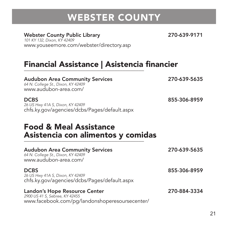Webster County Public Library 270-639-9171<br>101 KY 132, Dixon, KY 42409 www.youseemore.com/webster/directory.asp

## Financial Assistance | Asistencia financier<br>————————————————————

| <b>Audubon Area Community Services</b><br>64 N. College St., Dixon, KY 42409<br>www.audubon-area.com/             | 270-639-5635 |
|-------------------------------------------------------------------------------------------------------------------|--------------|
| <b>DCBS</b><br>26 US Hwy 41A S, Dixon, KY 42409<br>chfs.ky.gov/agencies/dcbs/Pages/default.aspx                   | 855-306-8959 |
| <b>Food &amp; Meal Assistance</b><br>Asistencia con alimentos y comidas                                           |              |
| <b>Audubon Area Community Services</b><br>64 N. College St., Dixon, KY 42409<br>www.audubon-area.com/             | 270-639-5635 |
| <b>DCBS</b><br>26 US Hwy 41A S, Dixon, KY 42409<br>chfs.ky.gov/agencies/dcbs/Pages/default.aspx                   | 855-306-8959 |
| Landon's Hope Resource Center<br>2900 US 41 S, Sebree, KY 42455<br>www.facebook.com/pg/landonshoperesoursecenter/ | 270-884-3334 |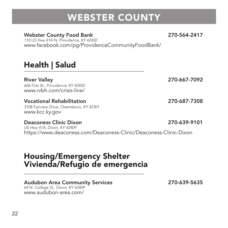### Webster County Food Bank 270-564-2417

110 US Hwy 41A N, Providence, KY 42450 www.facebook.com/pg/ProvidenceCommunityFoodBank/

### Health | Salud

River Valley 270-667-7092

606 First St., Providence, KY 42450 www.rybh.com/crisis-line/

#### Vocational Rehabilitation 270-687-7308

3108 Fairview Drive, Owensboro, KY 42301 www.kcc.ky.gov

#### Deaconess Clinic Dixon 270-639-9101

US Hwy 41A, Dixon, KY 42409 https://www.deaconess.com/Deaconess-Clinic/Deaconess-Clinic-Dixon

### Housing/Emergency Shelter Vivienda/Refugio de emergencia \_\_\_\_\_\_\_\_\_\_\_\_\_\_\_\_\_\_\_\_\_\_\_\_\_\_\_\_\_\_\_\_\_\_\_\_\_\_\_\_\_\_\_\_\_

#### Audubon Area Community Services 270-639-5635

64 N. College St., Dixon, KY 42409 www.audubon-area.com/

22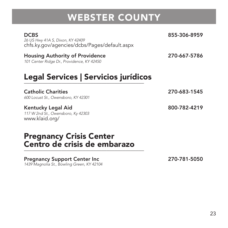DCBS 855-306-8959 26 US Hwy 41A S, Dixon, KY 42409 chfs.ky.gov/agencies/dcbs/Pages/default.aspx

Housing Authority of Providence 270-667-5786 101 Center Ridge Dr., Providence, KY 42450

## Legal Services | Servicios jurídicos \_\_\_\_\_\_\_\_\_\_\_\_\_\_\_\_\_\_\_\_\_\_\_\_\_\_\_\_\_\_\_\_\_\_\_\_\_\_\_\_\_\_\_\_\_

Catholic Charities 270-683-1545

600 Locust St., Owensboro, KY 42301

Kentucky Legal Aid 800-782-4219 117 W 2nd St., Owensboro, Ky 42303 www.klaid.org/

#### Pregnancy Crisis Center Centro de crisis de embarazo  $\overline{\phantom{a}}$

#### Pregnancy Support Center Inc 270-781-5050

1439 Magnolia St., Bowling Green, KY 42104

23